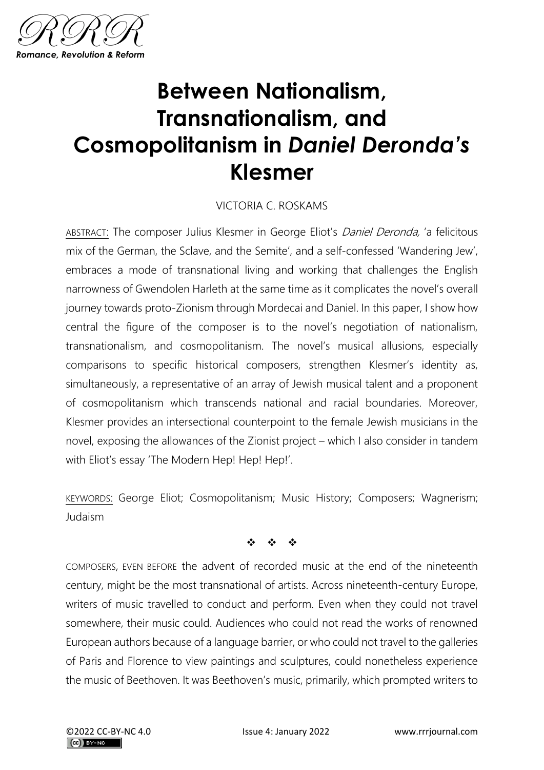

## **Between Nationalism, Transnationalism, and Cosmopolitanism in** *Daniel Deronda's* **Klesmer**

## VICTORIA C. ROSKAMS

ABSTRACT: The composer Julius Klesmer in George Eliot's Daniel Deronda, 'a felicitous mix of the German, the Sclave, and the Semite', and a self-confessed 'Wandering Jew', embraces a mode of transnational living and working that challenges the English narrowness of Gwendolen Harleth at the same time as it complicates the novel's overall journey towards proto-Zionism through Mordecai and Daniel. In this paper, I show how central the figure of the composer is to the novel's negotiation of nationalism, transnationalism, and cosmopolitanism. The novel's musical allusions, especially comparisons to specific historical composers, strengthen Klesmer's identity as, simultaneously, a representative of an array of Jewish musical talent and a proponent of cosmopolitanism which transcends national and racial boundaries. Moreover, Klesmer provides an intersectional counterpoint to the female Jewish musicians in the novel, exposing the allowances of the Zionist project – which I also consider in tandem with Eliot's essay 'The Modern Hep! Hep! Hep!'.

KEYWORDS: George Eliot; Cosmopolitanism; Music History; Composers; Wagnerism; Judaism

❖ ❖ ❖

COMPOSERS, EVEN BEFORE the advent of recorded music at the end of the nineteenth century, might be the most transnational of artists. Across nineteenth-century Europe, writers of music travelled to conduct and perform. Even when they could not travel somewhere, their music could. Audiences who could not read the works of renowned European authors because of a language barrier, or who could not travel to the galleries of Paris and Florence to view paintings and sculptures, could nonetheless experience the music of Beethoven. It was Beethoven's music, primarily, which prompted writers to

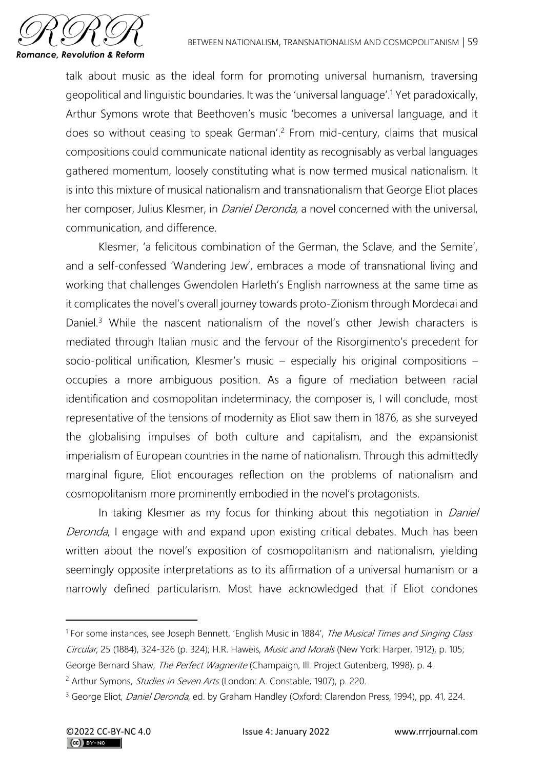

talk about music as the ideal form for promoting universal humanism, traversing geopolitical and linguistic boundaries. It was the 'universal language'.<sup>1</sup> Yet paradoxically, Arthur Symons wrote that Beethoven's music 'becomes a universal language, and it does so without ceasing to speak German'.<sup>2</sup> From mid-century, claims that musical compositions could communicate national identity as recognisably as verbal languages gathered momentum, loosely constituting what is now termed musical nationalism. It is into this mixture of musical nationalism and transnationalism that George Eliot places her composer, Julius Klesmer, in *Daniel Deronda*, a novel concerned with the universal, communication, and difference.

Klesmer, 'a felicitous combination of the German, the Sclave, and the Semite', and a self-confessed 'Wandering Jew', embraces a mode of transnational living and working that challenges Gwendolen Harleth's English narrowness at the same time as it complicates the novel's overall journey towards proto-Zionism through Mordecai and Daniel.<sup>3</sup> While the nascent nationalism of the novel's other Jewish characters is mediated through Italian music and the fervour of the Risorgimento's precedent for socio-political unification, Klesmer's music – especially his original compositions – occupies a more ambiguous position. As a figure of mediation between racial identification and cosmopolitan indeterminacy, the composer is, I will conclude, most representative of the tensions of modernity as Eliot saw them in 1876, as she surveyed the globalising impulses of both culture and capitalism, and the expansionist imperialism of European countries in the name of nationalism. Through this admittedly marginal figure, Eliot encourages reflection on the problems of nationalism and cosmopolitanism more prominently embodied in the novel's protagonists.

In taking Klesmer as my focus for thinking about this negotiation in *Daniel* Deronda, I engage with and expand upon existing critical debates. Much has been written about the novel's exposition of cosmopolitanism and nationalism, yielding seemingly opposite interpretations as to its affirmation of a universal humanism or a narrowly defined particularism. Most have acknowledged that if Eliot condones

<sup>&</sup>lt;sup>1</sup> For some instances, see Joseph Bennett, 'English Music in 1884', *The Musical Times and Singing Class* Circular, 25 (1884), 324-326 (p. 324); H.R. Haweis, Music and Morals (New York: Harper, 1912), p. 105; George Bernard Shaw, The Perfect Wagnerite (Champaign, Ill: Project Gutenberg, 1998), p. 4.

<sup>&</sup>lt;sup>2</sup> Arthur Symons, *Studies in Seven Arts* (London: A. Constable, 1907), p. 220.

<sup>&</sup>lt;sup>3</sup> George Eliot, *Daniel Deronda*, ed. by Graham Handley (Oxford: Clarendon Press, 1994), pp. 41, 224.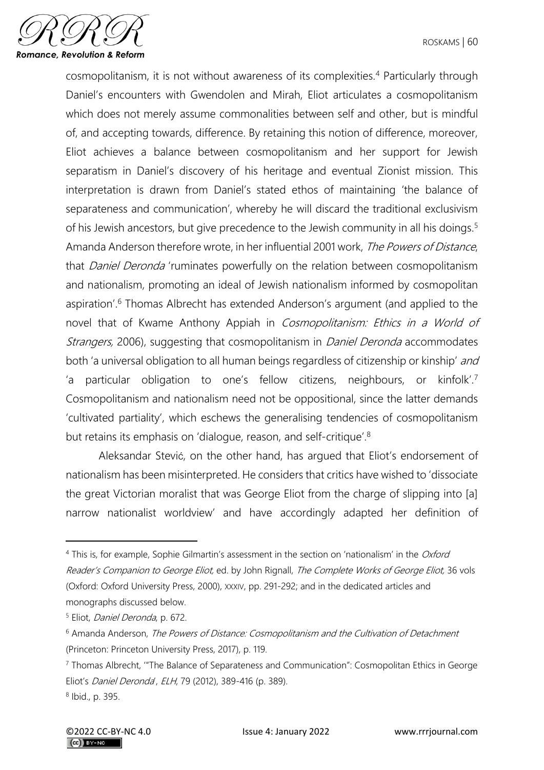

cosmopolitanism, it is not without awareness of its complexities.<sup>4</sup> Particularly through Daniel's encounters with Gwendolen and Mirah, Eliot articulates a cosmopolitanism which does not merely assume commonalities between self and other, but is mindful of, and accepting towards, difference. By retaining this notion of difference, moreover, Eliot achieves a balance between cosmopolitanism and her support for Jewish separatism in Daniel's discovery of his heritage and eventual Zionist mission. This interpretation is drawn from Daniel's stated ethos of maintaining 'the balance of separateness and communication', whereby he will discard the traditional exclusivism of his Jewish ancestors, but give precedence to the Jewish community in all his doings.<sup>5</sup> Amanda Anderson therefore wrote, in her influential 2001 work, The Powers of Distance, that *Daniel Deronda* 'ruminates powerfully on the relation between cosmopolitanism and nationalism, promoting an ideal of Jewish nationalism informed by cosmopolitan aspiration'.<sup>6</sup> Thomas Albrecht has extended Anderson's argument (and applied to the novel that of Kwame Anthony Appiah in Cosmopolitanism: Ethics in a World of Strangers, 2006), suggesting that cosmopolitanism in *Daniel Deronda* accommodates both 'a universal obligation to all human beings regardless of citizenship or kinship' and 'a particular obligation to one's fellow citizens, neighbours, or kinfolk'.<sup>7</sup> Cosmopolitanism and nationalism need not be oppositional, since the latter demands 'cultivated partiality', which eschews the generalising tendencies of cosmopolitanism but retains its emphasis on 'dialogue, reason, and self-critique'.<sup>8</sup>

Aleksandar Stević, on the other hand, has argued that Eliot's endorsement of nationalism has been misinterpreted. He considers that critics have wished to 'dissociate the great Victorian moralist that was George Eliot from the charge of slipping into [a] narrow nationalist worldview' and have accordingly adapted her definition of

<sup>&</sup>lt;sup>4</sup> This is, for example, Sophie Gilmartin's assessment in the section on 'nationalism' in the Oxford Reader's Companion to George Eliot, ed. by John Rignall, The Complete Works of George Eliot, 36 vols (Oxford: Oxford University Press, 2000), XXXIV, pp. 291-292; and in the dedicated articles and monographs discussed below.

<sup>5</sup> Eliot, Daniel Deronda, p. 672.

 $6$  Amanda Anderson, The Powers of Distance: Cosmopolitanism and the Cultivation of Detachment (Princeton: Princeton University Press, 2017), p. 119.

<sup>7</sup> Thomas Albrecht, '"The Balance of Separateness and Communication": Cosmopolitan Ethics in George Eliot's Daniel Deronda', ELH, 79 (2012), 389-416 (p. 389). 8 Ibid., p. 395.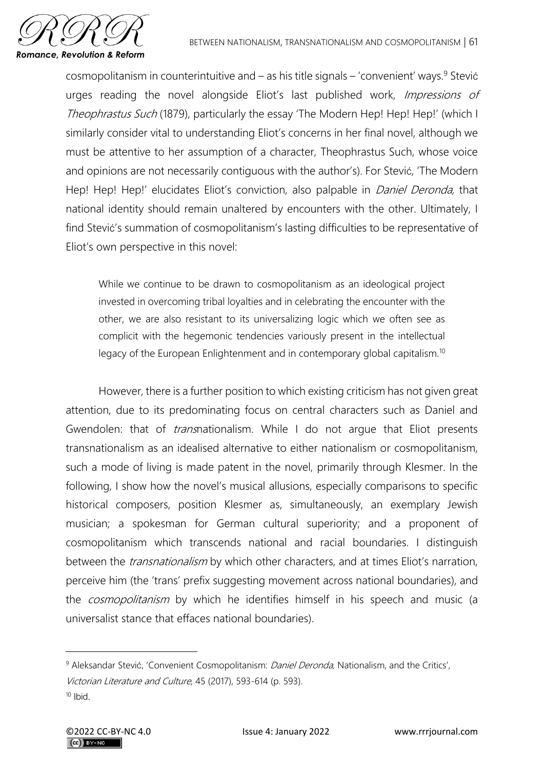

cosmopolitanism in counterintuitive and  $-$  as his title signals  $-$  'convenient' ways.<sup>9</sup> Stević urges reading the novel alongside Eliot's last published work, *Impressions of* Theophrastus Such (1879), particularly the essay 'The Modern Hep! Hep! Hep!' (which I similarly consider vital to understanding Eliot's concerns in her final novel, although we must be attentive to her assumption of a character, Theophrastus Such, whose voice and opinions are not necessarily contiguous with the author's). For Stević, 'The Modern Hep! Hep! Hep!' elucidates Eliot's conviction, also palpable in *Daniel Deronda*, that national identity should remain unaltered by encounters with the other. Ultimately, I find Stević's summation of cosmopolitanism's lasting difficulties to be representative of Eliot's own perspective in this novel:

While we continue to be drawn to cosmopolitanism as an ideological project invested in overcoming tribal loyalties and in celebrating the encounter with the other, we are also resistant to its universalizing logic which we often see as complicit with the hegemonic tendencies variously present in the intellectual legacy of the European Enlightenment and in contemporary global capitalism.<sup>10</sup>

However, there is a further position to which existing criticism has not given great attention, due to its predominating focus on central characters such as Daniel and Gwendolen: that of *trans* nationalism. While I do not arque that Eliot presents transnationalism as an idealised alternative to either nationalism or cosmopolitanism, such a mode of living is made patent in the novel, primarily through Klesmer. In the following, I show how the novel's musical allusions, especially comparisons to specific historical composers, position Klesmer as, simultaneously, an exemplary Jewish musician; a spokesman for German cultural superiority; and a proponent of cosmopolitanism which transcends national and racial boundaries. I distinguish between the *transnationalism* by which other characters, and at times Eliot's narration, perceive him (the 'trans' prefix suggesting movement across national boundaries), and the *cosmopolitanism* by which he identifies himself in his speech and music (a universalist stance that effaces national boundaries).

<sup>&</sup>lt;sup>9</sup> Aleksandar Stević, 'Convenient Cosmopolitanism: *Daniel Deronda*, Nationalism, and the Critics',

Victorian Literature and Culture, 45 (2017), 593-614 (p. 593).

 $10$  Ibid.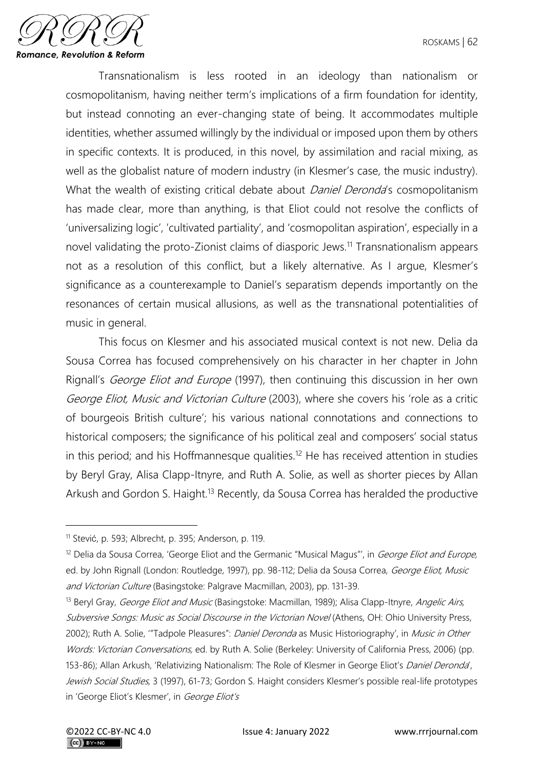

Transnationalism is less rooted in an ideology than nationalism or cosmopolitanism, having neither term's implications of a firm foundation for identity, but instead connoting an ever-changing state of being. It accommodates multiple identities, whether assumed willingly by the individual or imposed upon them by others in specific contexts. It is produced, in this novel, by assimilation and racial mixing, as well as the globalist nature of modern industry (in Klesmer's case, the music industry). What the wealth of existing critical debate about *Daniel Deronda's* cosmopolitanism has made clear, more than anything, is that Eliot could not resolve the conflicts of 'universalizing logic', 'cultivated partiality', and 'cosmopolitan aspiration', especially in a novel validating the proto-Zionist claims of diasporic Jews.<sup>11</sup> Transnationalism appears not as a resolution of this conflict, but a likely alternative. As I argue, Klesmer's significance as a counterexample to Daniel's separatism depends importantly on the resonances of certain musical allusions, as well as the transnational potentialities of music in general.

This focus on Klesmer and his associated musical context is not new. Delia da Sousa Correa has focused comprehensively on his character in her chapter in John Rignall's *George Eliot and Europe* (1997), then continuing this discussion in her own George Eliot, Music and Victorian Culture (2003), where she covers his 'role as a critic of bourgeois British culture'; his various national connotations and connections to historical composers; the significance of his political zeal and composers' social status in this period; and his Hoffmannesque qualities.<sup>12</sup> He has received attention in studies by Beryl Gray, Alisa Clapp-Itnyre, and Ruth A. Solie, as well as shorter pieces by Allan Arkush and Gordon S. Haight.<sup>13</sup> Recently, da Sousa Correa has heralded the productive

<sup>11</sup> Stević, p. 593; Albrecht, p. 395; Anderson, p. 119.

<sup>&</sup>lt;sup>12</sup> Delia da Sousa Correa, 'George Eliot and the Germanic "Musical Magus"', in *George Eliot and Europe,* ed. by John Rignall (London: Routledge, 1997), pp. 98-112; Delia da Sousa Correa, George Eliot, Music and Victorian Culture (Basingstoke: Palgrave Macmillan, 2003), pp. 131-39.

<sup>&</sup>lt;sup>13</sup> Beryl Gray, *George Eliot and Music* (Basingstoke: Macmillan, 1989); Alisa Clapp-Itnyre, Angelic Airs, Subversive Songs: Music as Social Discourse in the Victorian Novel (Athens, OH: Ohio University Press, 2002); Ruth A. Solie, "Tadpole Pleasures": Daniel Deronda as Music Historiography', in Music in Other Words: Victorian Conversations, ed. by Ruth A. Solie (Berkeley: University of California Press, 2006) (pp. 153-86); Allan Arkush, 'Relativizing Nationalism: The Role of Klesmer in George Eliot's Daniel Deronda', Jewish Social Studies, 3 (1997), 61-73; Gordon S. Haight considers Klesmer's possible real-life prototypes in 'George Eliot's Klesmer', in George Eliot's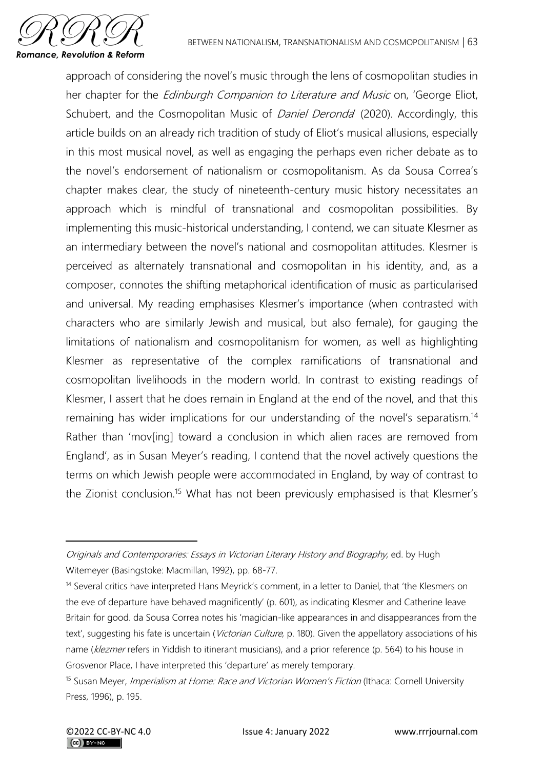

approach of considering the novel's music through the lens of cosmopolitan studies in her chapter for the *Edinburgh Companion to Literature and Music* on, 'George Eliot, Schubert, and the Cosmopolitan Music of *Daniel Deronda'* (2020). Accordingly, this article builds on an already rich tradition of study of Eliot's musical allusions, especially in this most musical novel, as well as engaging the perhaps even richer debate as to the novel's endorsement of nationalism or cosmopolitanism. As da Sousa Correa's chapter makes clear, the study of nineteenth-century music history necessitates an approach which is mindful of transnational and cosmopolitan possibilities. By implementing this music-historical understanding, I contend, we can situate Klesmer as an intermediary between the novel's national and cosmopolitan attitudes. Klesmer is perceived as alternately transnational and cosmopolitan in his identity, and, as a composer, connotes the shifting metaphorical identification of music as particularised and universal. My reading emphasises Klesmer's importance (when contrasted with characters who are similarly Jewish and musical, but also female), for gauging the limitations of nationalism and cosmopolitanism for women, as well as highlighting Klesmer as representative of the complex ramifications of transnational and cosmopolitan livelihoods in the modern world. In contrast to existing readings of Klesmer, I assert that he does remain in England at the end of the novel, and that this remaining has wider implications for our understanding of the novel's separatism.<sup>14</sup> Rather than 'mov[ing] toward a conclusion in which alien races are removed from England', as in Susan Meyer's reading, I contend that the novel actively questions the terms on which Jewish people were accommodated in England, by way of contrast to the Zionist conclusion.<sup>15</sup> What has not been previously emphasised is that Klesmer's

Originals and Contemporaries: Essays in Victorian Literary History and Biography, ed. by Hugh Witemeyer (Basingstoke: Macmillan, 1992), pp. 68-77.

<sup>&</sup>lt;sup>14</sup> Several critics have interpreted Hans Meyrick's comment, in a letter to Daniel, that 'the Klesmers on the eve of departure have behaved magnificently' (p. 601), as indicating Klesmer and Catherine leave Britain for good. da Sousa Correa notes his 'magician-like appearances in and disappearances from the text', suggesting his fate is uncertain (Victorian Culture, p. 180). Given the appellatory associations of his name (klezmer refers in Yiddish to itinerant musicians), and a prior reference (p. 564) to his house in Grosvenor Place, I have interpreted this 'departure' as merely temporary.

<sup>&</sup>lt;sup>15</sup> Susan Meyer, *Imperialism at Home: Race and Victorian Women's Fiction* (Ithaca: Cornell University Press, 1996), p. 195.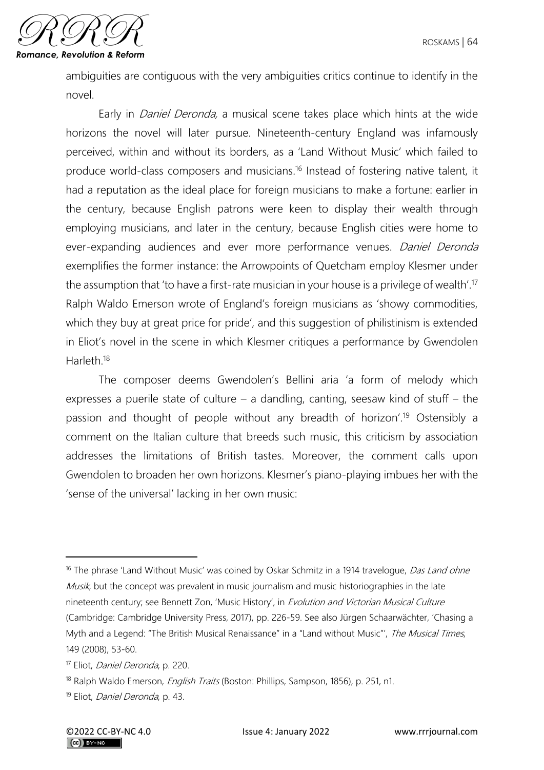

ambiguities are contiguous with the very ambiguities critics continue to identify in the novel.

Early in *Daniel Deronda*, a musical scene takes place which hints at the wide horizons the novel will later pursue. Nineteenth-century England was infamously perceived, within and without its borders, as a 'Land Without Music' which failed to produce world-class composers and musicians.<sup>16</sup> Instead of fostering native talent, it had a reputation as the ideal place for foreign musicians to make a fortune: earlier in the century, because English patrons were keen to display their wealth through employing musicians, and later in the century, because English cities were home to ever-expanding audiences and ever more performance venues. Daniel Deronda exemplifies the former instance: the Arrowpoints of Quetcham employ Klesmer under the assumption that 'to have a first-rate musician in your house is a privilege of wealth'.<sup>17</sup> Ralph Waldo Emerson wrote of England's foreign musicians as 'showy commodities, which they buy at great price for pride', and this suggestion of philistinism is extended in Eliot's novel in the scene in which Klesmer critiques a performance by Gwendolen Harleth<sup>18</sup>

The composer deems Gwendolen's Bellini aria 'a form of melody which expresses a puerile state of culture – a dandling, canting, seesaw kind of stuff – the passion and thought of people without any breadth of horizon'.<sup>19</sup> Ostensibly a comment on the Italian culture that breeds such music, this criticism by association addresses the limitations of British tastes. Moreover, the comment calls upon Gwendolen to broaden her own horizons. Klesmer's piano-playing imbues her with the 'sense of the universal' lacking in her own music:

<sup>&</sup>lt;sup>16</sup> The phrase 'Land Without Music' was coined by Oskar Schmitz in a 1914 travelogue, Das Land ohne Musik, but the concept was prevalent in music journalism and music historiographies in the late nineteenth century; see Bennett Zon, 'Music History', in Evolution and Victorian Musical Culture (Cambridge: Cambridge University Press, 2017), pp. 226-59. See also Jürgen Schaarwächter, 'Chasing a Myth and a Legend: "The British Musical Renaissance" in a "Land without Music"', The Musical Times, 149 (2008), 53-60.

<sup>17</sup> Eliot, Daniel Deronda, p. 220.

<sup>&</sup>lt;sup>18</sup> Ralph Waldo Emerson, *English Traits* (Boston: Phillips, Sampson, 1856), p. 251, n1.

<sup>19</sup> Eliot, Daniel Deronda, p. 43.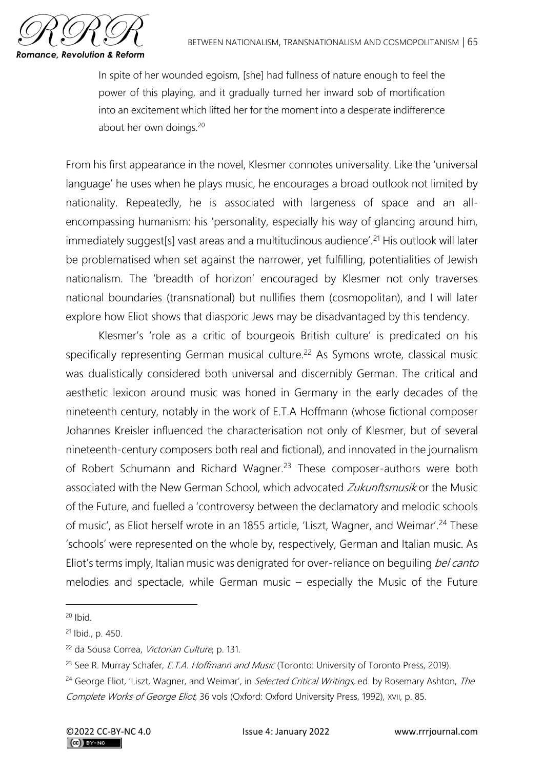

In spite of her wounded egoism, [she] had fullness of nature enough to feel the power of this playing, and it gradually turned her inward sob of mortification into an excitement which lifted her for the moment into a desperate indifference about her own doings.<sup>20</sup>

From his first appearance in the novel, Klesmer connotes universality. Like the 'universal language' he uses when he plays music, he encourages a broad outlook not limited by nationality. Repeatedly, he is associated with largeness of space and an allencompassing humanism: his 'personality, especially his way of glancing around him, immediately suggest[s] vast areas and a multitudinous audience'.<sup>21</sup> His outlook will later be problematised when set against the narrower, yet fulfilling, potentialities of Jewish nationalism. The 'breadth of horizon' encouraged by Klesmer not only traverses national boundaries (transnational) but nullifies them (cosmopolitan), and I will later explore how Eliot shows that diasporic Jews may be disadvantaged by this tendency.

Klesmer's 'role as a critic of bourgeois British culture' is predicated on his specifically representing German musical culture.<sup>22</sup> As Symons wrote, classical music was dualistically considered both universal and discernibly German. The critical and aesthetic lexicon around music was honed in Germany in the early decades of the nineteenth century, notably in the work of E.T.A Hoffmann (whose fictional composer Johannes Kreisler influenced the characterisation not only of Klesmer, but of several nineteenth-century composers both real and fictional), and innovated in the journalism of Robert Schumann and Richard Wagner.<sup>23</sup> These composer-authors were both associated with the New German School, which advocated Zukunftsmusik or the Music of the Future, and fuelled a 'controversy between the declamatory and melodic schools of music', as Eliot herself wrote in an 1855 article, 'Liszt, Wagner, and Weimar'.<sup>24</sup> These 'schools' were represented on the whole by, respectively, German and Italian music. As Eliot's terms imply, Italian music was denigrated for over-reliance on beguiling bel canto melodies and spectacle, while German music – especially the Music of the Future

 $20$  Ibid.

<sup>21</sup> Ibid., p. 450.

<sup>22</sup> da Sousa Correa, Victorian Culture, p. 131.

<sup>&</sup>lt;sup>23</sup> See R. Murray Schafer, *E.T.A. Hoffmann and Music* (Toronto: University of Toronto Press, 2019).

<sup>&</sup>lt;sup>24</sup> George Eliot, 'Liszt, Wagner, and Weimar', in *Selected Critical Writings*, ed. by Rosemary Ashton, The Complete Works of George Eliot, 36 vols (Oxford: Oxford University Press, 1992), XVII, p. 85.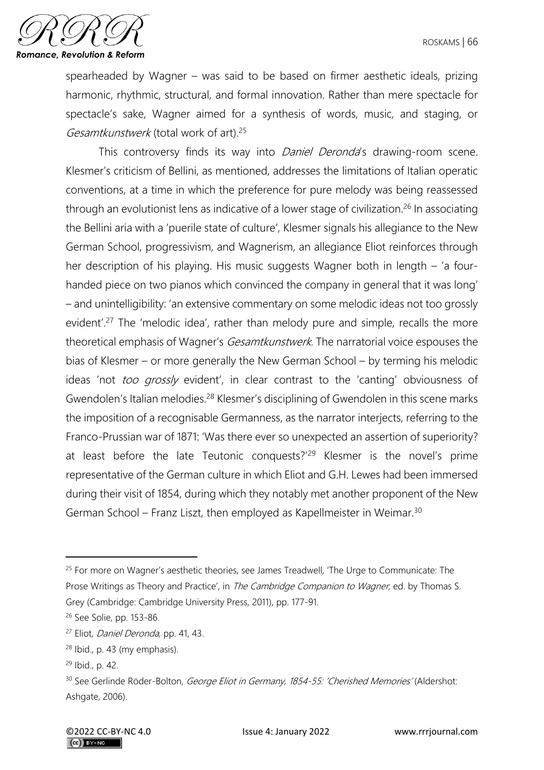

spearheaded by Wagner – was said to be based on firmer aesthetic ideals, prizing harmonic, rhythmic, structural, and formal innovation. Rather than mere spectacle for spectacle's sake, Wagner aimed for a synthesis of words, music, and staging, or Gesamtkunstwerk (total work of art).<sup>25</sup>

This controversy finds its way into *Daniel Deronda's* drawing-room scene. Klesmer's criticism of Bellini, as mentioned, addresses the limitations of Italian operatic conventions, at a time in which the preference for pure melody was being reassessed through an evolutionist lens as indicative of a lower stage of civilization.<sup>26</sup> In associating the Bellini aria with a 'puerile state of culture', Klesmer signals his allegiance to the New German School, progressivism, and Wagnerism, an allegiance Eliot reinforces through her description of his playing. His music suggests Wagner both in length – 'a fourhanded piece on two pianos which convinced the company in general that it was long' – and unintelligibility: 'an extensive commentary on some melodic ideas not too grossly evident'.<sup>27</sup> The 'melodic idea', rather than melody pure and simple, recalls the more theoretical emphasis of Wagner's *Gesamtkunstwerk*. The narratorial voice espouses the bias of Klesmer – or more generally the New German School – by terming his melodic ideas 'not *too grossly* evident', in clear contrast to the 'canting' obviousness of Gwendolen's Italian melodies.<sup>28</sup> Klesmer's disciplining of Gwendolen in this scene marks the imposition of a recognisable Germanness, as the narrator interjects, referring to the Franco-Prussian war of 1871: 'Was there ever so unexpected an assertion of superiority? at least before the late Teutonic conquests?'<sup>29</sup> Klesmer is the novel's prime representative of the German culture in which Eliot and G.H. Lewes had been immersed during their visit of 1854, during which they notably met another proponent of the New German School – Franz Liszt, then employed as Kapellmeister in Weimar.<sup>30</sup>

<sup>&</sup>lt;sup>25</sup> For more on Wagner's aesthetic theories, see James Treadwell, 'The Urge to Communicate: The Prose Writings as Theory and Practice', in The Cambridge Companion to Wagner, ed. by Thomas S. Grey (Cambridge: Cambridge University Press, 2011), pp. 177-91.

<sup>26</sup> See Solie, pp. 153-86.

<sup>27</sup> Eliot, Daniel Deronda, pp. 41, 43.

<sup>28</sup> Ibid., p. 43 (my emphasis).

<sup>29</sup> Ibid., p. 42.

<sup>30</sup> See Gerlinde Röder-Bolton, George Eliot in Germany, 1854-55: 'Cherished Memories' (Aldershot: Ashgate, 2006).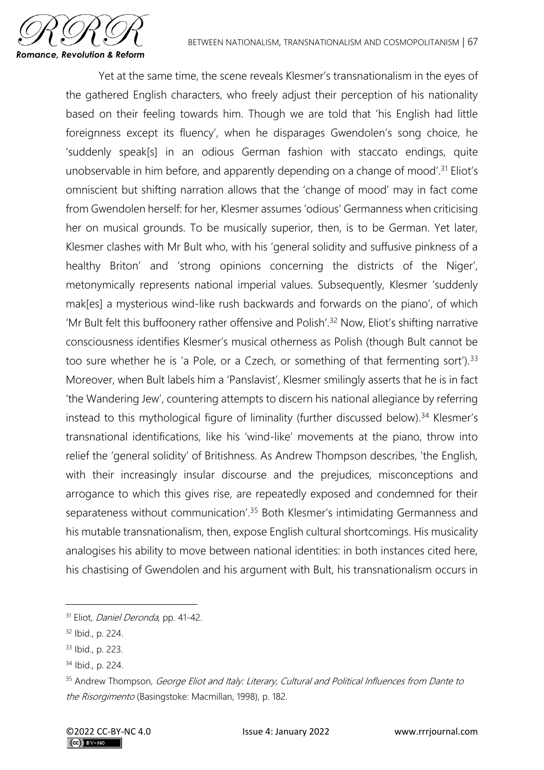

Yet at the same time, the scene reveals Klesmer's transnationalism in the eyes of the gathered English characters, who freely adjust their perception of his nationality based on their feeling towards him. Though we are told that 'his English had little foreignness except its fluency', when he disparages Gwendolen's song choice, he 'suddenly speak[s] in an odious German fashion with staccato endings, quite unobservable in him before, and apparently depending on a change of mood'.<sup>31</sup> Eliot's omniscient but shifting narration allows that the 'change of mood' may in fact come from Gwendolen herself: for her, Klesmer assumes 'odious' Germanness when criticising her on musical grounds. To be musically superior, then, is to be German. Yet later, Klesmer clashes with Mr Bult who, with his 'general solidity and suffusive pinkness of a healthy Briton' and 'strong opinions concerning the districts of the Niger', metonymically represents national imperial values. Subsequently, Klesmer 'suddenly mak[es] a mysterious wind-like rush backwards and forwards on the piano', of which 'Mr Bult felt this buffoonery rather offensive and Polish'.<sup>32</sup> Now, Eliot's shifting narrative consciousness identifies Klesmer's musical otherness as Polish (though Bult cannot be too sure whether he is 'a Pole, or a Czech, or something of that fermenting sort').  $33$ Moreover, when Bult labels him a 'Panslavist', Klesmer smilingly asserts that he is in fact 'the Wandering Jew', countering attempts to discern his national allegiance by referring instead to this mythological figure of liminality (further discussed below).<sup>34</sup> Klesmer's transnational identifications, like his 'wind-like' movements at the piano, throw into relief the 'general solidity' of Britishness. As Andrew Thompson describes, 'the English, with their increasingly insular discourse and the prejudices, misconceptions and arrogance to which this gives rise, are repeatedly exposed and condemned for their separateness without communication'.<sup>35</sup> Both Klesmer's intimidating Germanness and his mutable transnationalism, then, expose English cultural shortcomings. His musicality analogises his ability to move between national identities: in both instances cited here, his chastising of Gwendolen and his argument with Bult, his transnationalism occurs in

<sup>&</sup>lt;sup>31</sup> Eliot, *Daniel Deronda*, pp. 41-42.

<sup>32</sup> Ibid., p. 224.

<sup>33</sup> Ibid., p. 223.

<sup>34</sup> Ibid., p. 224.

<sup>&</sup>lt;sup>35</sup> Andrew Thompson, George Eliot and Italy: Literary, Cultural and Political Influences from Dante to the Risorgimento (Basingstoke: Macmillan, 1998), p. 182.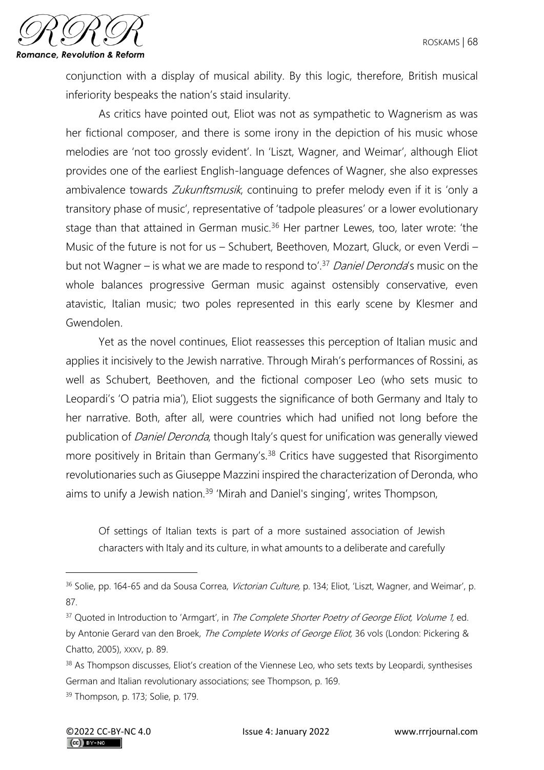

conjunction with a display of musical ability. By this logic, therefore, British musical inferiority bespeaks the nation's staid insularity.

As critics have pointed out, Eliot was not as sympathetic to Wagnerism as was her fictional composer, and there is some irony in the depiction of his music whose melodies are 'not too grossly evident'. In 'Liszt, Wagner, and Weimar', although Eliot provides one of the earliest English-language defences of Wagner, she also expresses ambivalence towards Zukunftsmusik, continuing to prefer melody even if it is 'only a transitory phase of music', representative of 'tadpole pleasures' or a lower evolutionary stage than that attained in German music.<sup>36</sup> Her partner Lewes, too, later wrote: 'the Music of the future is not for us – Schubert, Beethoven, Mozart, Gluck, or even Verdi – but not Wagner – is what we are made to respond to'.<sup>37</sup> Daniel Deronda's music on the whole balances progressive German music against ostensibly conservative, even atavistic, Italian music; two poles represented in this early scene by Klesmer and Gwendolen.

Yet as the novel continues, Eliot reassesses this perception of Italian music and applies it incisively to the Jewish narrative. Through Mirah's performances of Rossini, as well as Schubert, Beethoven, and the fictional composer Leo (who sets music to Leopardi's 'O patria mia'), Eliot suggests the significance of both Germany and Italy to her narrative. Both, after all, were countries which had unified not long before the publication of *Daniel Deronda*, though Italy's quest for unification was generally viewed more positively in Britain than Germany's.<sup>38</sup> Critics have suggested that Risorgimento revolutionaries such as Giuseppe Mazzini inspired the characterization of Deronda, who aims to unify a Jewish nation.<sup>39</sup> 'Mirah and Daniel's singing', writes Thompson,

Of settings of Italian texts is part of a more sustained association of Jewish characters with Italy and its culture, in what amounts to a deliberate and carefully

<sup>&</sup>lt;sup>36</sup> Solie, pp. 164-65 and da Sousa Correa, *Victorian Culture*, p. 134; Eliot, 'Liszt, Wagner, and Weimar', p. 87.

<sup>&</sup>lt;sup>37</sup> Quoted in Introduction to 'Armgart', in The Complete Shorter Poetry of George Eliot, Volume 1, ed. by Antonie Gerard van den Broek, The Complete Works of George Eliot, 36 vols (London: Pickering & Chatto, 2005), XXXV, p. 89.

<sup>38</sup> As Thompson discusses, Eliot's creation of the Viennese Leo, who sets texts by Leopardi, synthesises German and Italian revolutionary associations; see Thompson, p. 169.

<sup>39</sup> Thompson, p. 173; Solie, p. 179.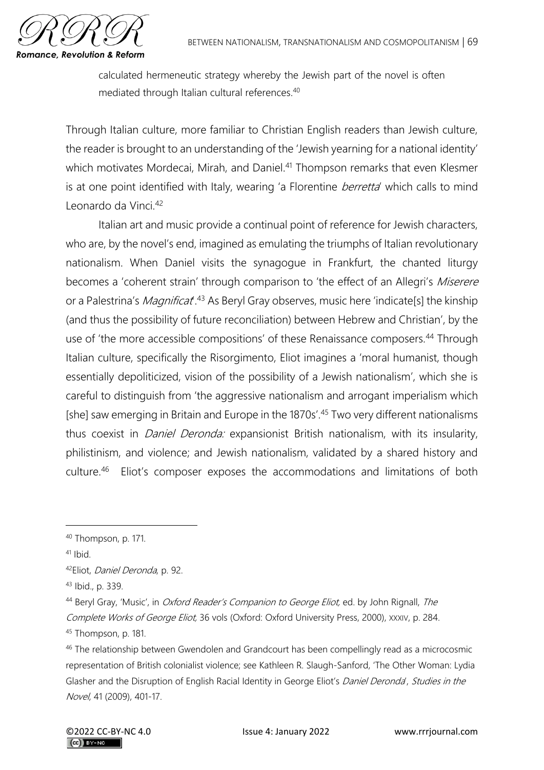

calculated hermeneutic strategy whereby the Jewish part of the novel is often mediated through Italian cultural references.<sup>40</sup>

Through Italian culture, more familiar to Christian English readers than Jewish culture, the reader is brought to an understanding of the 'Jewish yearning for a national identity' which motivates Mordecai, Mirah, and Daniel.<sup>41</sup> Thompson remarks that even Klesmer is at one point identified with Italy, wearing 'a Florentine *berretta'* which calls to mind Leonardo da Vinci.<sup>42</sup>

Italian art and music provide a continual point of reference for Jewish characters, who are, by the novel's end, imagined as emulating the triumphs of Italian revolutionary nationalism. When Daniel visits the synagogue in Frankfurt, the chanted liturgy becomes a 'coherent strain' through comparison to 'the effect of an Allegri's Miserere or a Palestrina's *Magnificat*<sup>43</sup> As Beryl Gray observes, music here 'indicate[s] the kinship (and thus the possibility of future reconciliation) between Hebrew and Christian', by the use of 'the more accessible compositions' of these Renaissance composers.<sup>44</sup> Through Italian culture, specifically the Risorgimento, Eliot imagines a 'moral humanist, though essentially depoliticized, vision of the possibility of a Jewish nationalism', which she is careful to distinguish from 'the aggressive nationalism and arrogant imperialism which [she] saw emerging in Britain and Europe in the 1870s'.<sup>45</sup> Two very different nationalisms thus coexist in *Daniel Deronda:* expansionist British nationalism, with its insularity, philistinism, and violence; and Jewish nationalism, validated by a shared history and culture.<sup>46</sup> Eliot's composer exposes the accommodations and limitations of both

<sup>40</sup> Thompson, p. 171.

 $41$  Ibid.

<sup>42</sup>Eliot, Daniel Deronda, p. 92.

<sup>43</sup> Ibid., p. 339.

<sup>&</sup>lt;sup>44</sup> Beryl Gray, 'Music', in *Oxford Reader's Companion to George Eliot*, ed. by John Rignall, The Complete Works of George Eliot, 36 vols (Oxford: Oxford University Press, 2000), XXXIV, p. 284. <sup>45</sup> Thompson, p. 181.

<sup>&</sup>lt;sup>46</sup> The relationship between Gwendolen and Grandcourt has been compellingly read as a microcosmic representation of British colonialist violence; see Kathleen R. Slaugh-Sanford, 'The Other Woman: Lydia Glasher and the Disruption of English Racial Identity in George Eliot's Daniel Deronda', Studies in the Novel, 41 (2009), 401-17.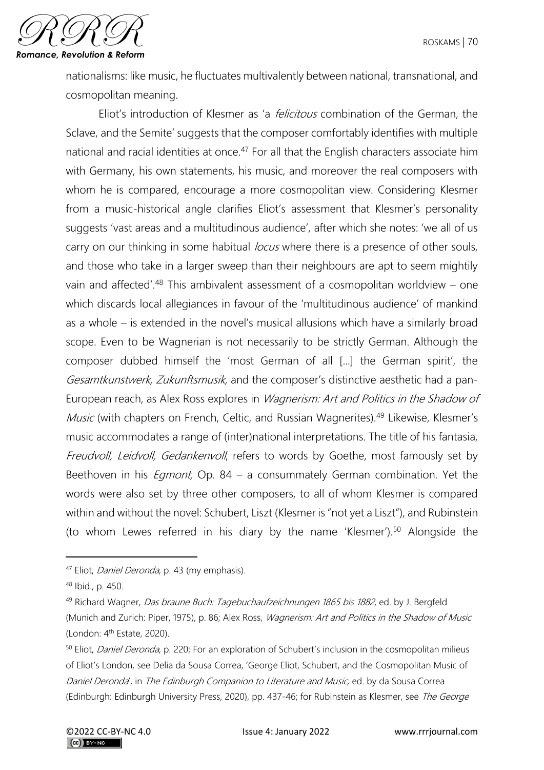

nationalisms: like music, he fluctuates multivalently between national, transnational, and cosmopolitan meaning.

Eliot's introduction of Klesmer as 'a *felicitous* combination of the German, the Sclave, and the Semite' suggests that the composer comfortably identifies with multiple national and racial identities at once.<sup>47</sup> For all that the English characters associate him with Germany, his own statements, his music, and moreover the real composers with whom he is compared, encourage a more cosmopolitan view. Considering Klesmer from a music-historical angle clarifies Eliot's assessment that Klesmer's personality suggests 'vast areas and a multitudinous audience', after which she notes: 'we all of us carry on our thinking in some habitual *locus* where there is a presence of other souls, and those who take in a larger sweep than their neighbours are apt to seem mightily vain and affected'.<sup>48</sup> This ambivalent assessment of a cosmopolitan worldview – one which discards local allegiances in favour of the 'multitudinous audience' of mankind as a whole – is extended in the novel's musical allusions which have a similarly broad scope. Even to be Wagnerian is not necessarily to be strictly German. Although the composer dubbed himself the 'most German of all [...] the German spirit', the Gesamtkunstwerk, Zukunftsmusik, and the composer's distinctive aesthetic had a pan-European reach, as Alex Ross explores in Wagnerism: Art and Politics in the Shadow of Music (with chapters on French, Celtic, and Russian Wagnerites).<sup>49</sup> Likewise, Klesmer's music accommodates a range of (inter)national interpretations. The title of his fantasia, Freudvoll, Leidvoll, Gedankenvoll, refers to words by Goethe, most famously set by Beethoven in his *Eqmont*, Op. 84 – a consummately German combination. Yet the words were also set by three other composers, to all of whom Klesmer is compared within and without the novel: Schubert, Liszt (Klesmer is "not yet a Liszt"), and Rubinstein (to whom Lewes referred in his diary by the name 'Klesmer').<sup>50</sup> Alongside the

<sup>&</sup>lt;sup>47</sup> Eliot, *Daniel Deronda*, p. 43 (my emphasis).

<sup>48</sup> Ibid., p. 450.

<sup>49</sup> Richard Wagner, Das braune Buch: Tagebuchaufzeichnungen 1865 bis 1882, ed. by J. Bergfeld (Munich and Zurich: Piper, 1975), p. 86; Alex Ross, Wagnerism: Art and Politics in the Shadow of Music (London:  $4<sup>th</sup>$  Estate, 2020).

<sup>50</sup> Eliot, Daniel Deronda, p. 220; For an exploration of Schubert's inclusion in the cosmopolitan milieus of Eliot's London, see Delia da Sousa Correa, 'George Eliot, Schubert, and the Cosmopolitan Music of Daniel Deronda', in The Edinburgh Companion to Literature and Music, ed. by da Sousa Correa (Edinburgh: Edinburgh University Press, 2020), pp. 437-46; for Rubinstein as Klesmer, see The George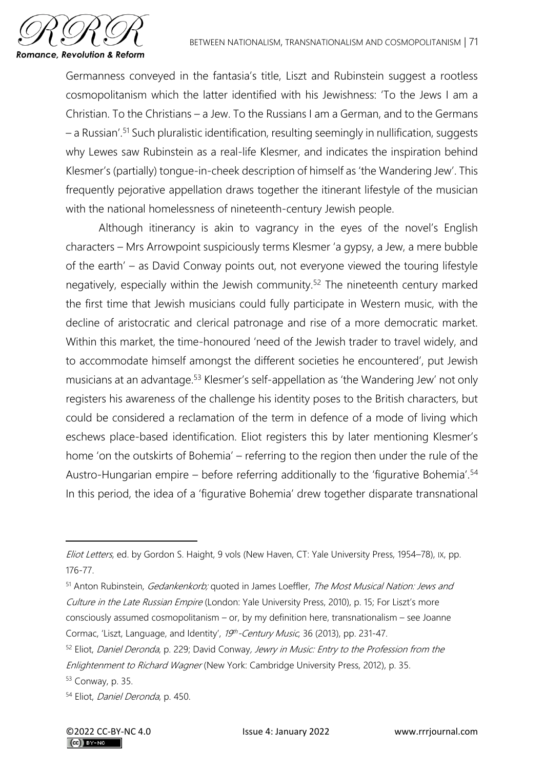

Germanness conveyed in the fantasia's title, Liszt and Rubinstein suggest a rootless cosmopolitanism which the latter identified with his Jewishness: 'To the Jews I am a Christian. To the Christians – a Jew. To the Russians I am a German, and to the Germans – a Russian'.<sup>51</sup> Such pluralistic identification, resulting seemingly in nullification, suggests why Lewes saw Rubinstein as a real-life Klesmer, and indicates the inspiration behind Klesmer's (partially) tongue-in-cheek description of himself as 'the Wandering Jew'. This frequently pejorative appellation draws together the itinerant lifestyle of the musician with the national homelessness of nineteenth-century Jewish people.

Although itinerancy is akin to vagrancy in the eyes of the novel's English characters – Mrs Arrowpoint suspiciously terms Klesmer 'a gypsy, a Jew, a mere bubble of the earth' – as David Conway points out, not everyone viewed the touring lifestyle negatively, especially within the Jewish community.<sup>52</sup> The nineteenth century marked the first time that Jewish musicians could fully participate in Western music, with the decline of aristocratic and clerical patronage and rise of a more democratic market. Within this market, the time-honoured 'need of the Jewish trader to travel widely, and to accommodate himself amongst the different societies he encountered', put Jewish musicians at an advantage.<sup>53</sup> Klesmer's self-appellation as 'the Wandering Jew' not only registers his awareness of the challenge his identity poses to the British characters, but could be considered a reclamation of the term in defence of a mode of living which eschews place-based identification. Eliot registers this by later mentioning Klesmer's home 'on the outskirts of Bohemia' – referring to the region then under the rule of the Austro-Hungarian empire – before referring additionally to the 'figurative Bohemia'.<sup>54</sup> In this period, the idea of a 'figurative Bohemia' drew together disparate transnational

Eliot Letters, ed. by Gordon S. Haight, 9 vols (New Haven, CT: Yale University Press, 1954–78), IX, pp. 176-77.

<sup>51</sup> Anton Rubinstein, Gedankenkorb; quoted in James Loeffler, The Most Musical Nation: Jews and Culture in the Late Russian Empire (London: Yale University Press, 2010), p. 15; For Liszt's more consciously assumed cosmopolitanism – or, by my definition here, transnationalism – see Joanne Cormac, 'Liszt, Language, and Identity', 19th-Century Music, 36 (2013), pp. 231-47.

<sup>&</sup>lt;sup>52</sup> Eliot, Daniel Deronda, p. 229; David Conway, Jewry in Music: Entry to the Profession from the Enlightenment to Richard Wagner (New York: Cambridge University Press, 2012), p. 35.

<sup>53</sup> Conway, p. 35.

<sup>54</sup> Eliot, Daniel Deronda, p. 450.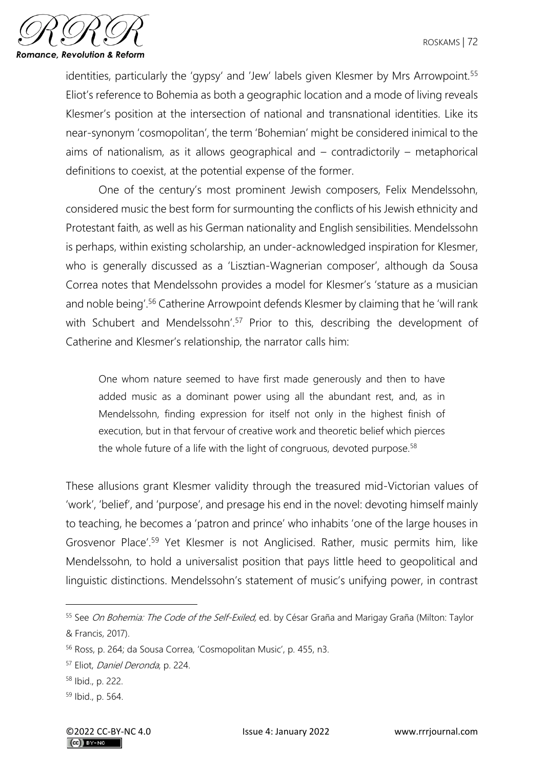

identities, particularly the 'gypsy' and 'Jew' labels given Klesmer by Mrs Arrowpoint.<sup>55</sup> Eliot's reference to Bohemia as both a geographic location and a mode of living reveals Klesmer's position at the intersection of national and transnational identities. Like its near-synonym 'cosmopolitan', the term 'Bohemian' might be considered inimical to the aims of nationalism, as it allows geographical and – contradictorily – metaphorical definitions to coexist, at the potential expense of the former.

One of the century's most prominent Jewish composers, Felix Mendelssohn, considered music the best form for surmounting the conflicts of his Jewish ethnicity and Protestant faith, as well as his German nationality and English sensibilities. Mendelssohn is perhaps, within existing scholarship, an under-acknowledged inspiration for Klesmer, who is generally discussed as a 'Lisztian-Wagnerian composer', although da Sousa Correa notes that Mendelssohn provides a model for Klesmer's 'stature as a musician and noble being'.<sup>56</sup> Catherine Arrowpoint defends Klesmer by claiming that he 'will rank with Schubert and Mendelssohn'.<sup>57</sup> Prior to this, describing the development of Catherine and Klesmer's relationship, the narrator calls him:

One whom nature seemed to have first made generously and then to have added music as a dominant power using all the abundant rest, and, as in Mendelssohn, finding expression for itself not only in the highest finish of execution, but in that fervour of creative work and theoretic belief which pierces the whole future of a life with the light of congruous, devoted purpose.<sup>58</sup>

These allusions grant Klesmer validity through the treasured mid-Victorian values of 'work', 'belief', and 'purpose', and presage his end in the novel: devoting himself mainly to teaching, he becomes a 'patron and prince' who inhabits 'one of the large houses in Grosvenor Place'.<sup>59</sup> Yet Klesmer is not Anglicised. Rather, music permits him, like Mendelssohn, to hold a universalist position that pays little heed to geopolitical and linguistic distinctions. Mendelssohn's statement of music's unifying power, in contrast

<sup>&</sup>lt;sup>55</sup> See *On Bohemia: The Code of the Self-Exiled*, ed. by César Graña and Marigay Graña (Milton: Taylor & Francis, 2017).

<sup>56</sup> Ross, p. 264; da Sousa Correa, 'Cosmopolitan Music', p. 455, n3.

<sup>57</sup> Eliot, Daniel Deronda, p. 224.

<sup>58</sup> Ibid., p. 222.

<sup>59</sup> Ibid., p. 564.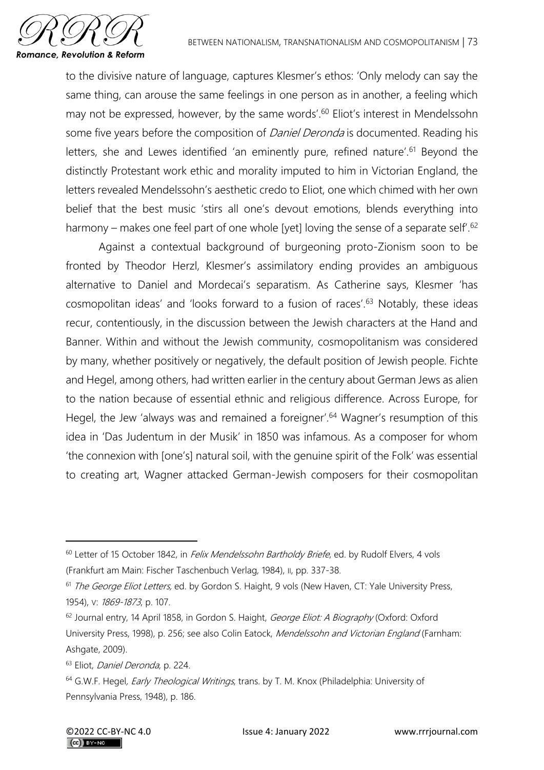

to the divisive nature of language, captures Klesmer's ethos: 'Only melody can say the same thing, can arouse the same feelings in one person as in another, a feeling which may not be expressed, however, by the same words'.<sup>60</sup> Eliot's interest in Mendelssohn some five years before the composition of *Daniel Deronda* is documented. Reading his letters, she and Lewes identified 'an eminently pure, refined nature'.<sup>61</sup> Beyond the distinctly Protestant work ethic and morality imputed to him in Victorian England, the letters revealed Mendelssohn's aesthetic credo to Eliot, one which chimed with her own belief that the best music 'stirs all one's devout emotions, blends everything into harmony – makes one feel part of one whole [yet] loving the sense of a separate self'.<sup>62</sup>

Against a contextual background of burgeoning proto-Zionism soon to be fronted by Theodor Herzl, Klesmer's assimilatory ending provides an ambiguous alternative to Daniel and Mordecai's separatism. As Catherine says, Klesmer 'has cosmopolitan ideas' and 'looks forward to a fusion of races'.<sup>63</sup> Notably, these ideas recur, contentiously, in the discussion between the Jewish characters at the Hand and Banner. Within and without the Jewish community, cosmopolitanism was considered by many, whether positively or negatively, the default position of Jewish people. Fichte and Hegel, among others, had written earlier in the century about German Jews as alien to the nation because of essential ethnic and religious difference. Across Europe, for Hegel, the Jew 'always was and remained a foreigner'.<sup>64</sup> Wagner's resumption of this idea in 'Das Judentum in der Musik' in 1850 was infamous. As a composer for whom 'the connexion with [one's] natural soil, with the genuine spirit of the Folk' was essential to creating art, Wagner attacked German-Jewish composers for their cosmopolitan

<sup>&</sup>lt;sup>60</sup> Letter of 15 October 1842, in *Felix Mendelssohn Bartholdy Briefe*, ed. by Rudolf Elvers, 4 vols (Frankfurt am Main: Fischer Taschenbuch Verlag, 1984), II, pp. 337-38.

<sup>&</sup>lt;sup>61</sup> The George Eliot Letters, ed. by Gordon S. Haight, 9 vols (New Haven, CT: Yale University Press, 1954), V: 1869-1873, p. 107.

<sup>&</sup>lt;sup>62</sup> Journal entry, 14 April 1858, in Gordon S. Haight, George Eliot: A Biography (Oxford: Oxford University Press, 1998), p. 256; see also Colin Eatock, Mendelssohn and Victorian England (Farnham: Ashgate, 2009).

<sup>63</sup> Eliot, Daniel Deronda, p. 224.

<sup>&</sup>lt;sup>64</sup> G.W.F. Hegel, *Early Theological Writings*, trans. by T. M. Knox (Philadelphia: University of Pennsylvania Press, 1948), p. 186.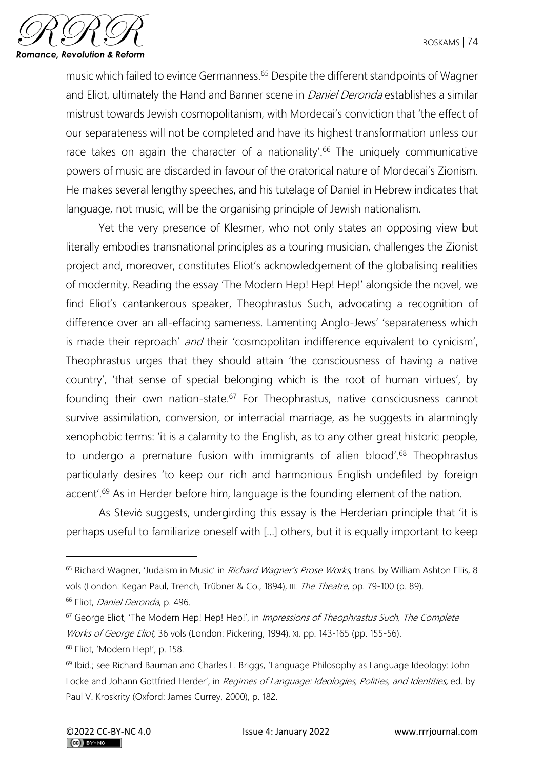

music which failed to evince Germanness.<sup>65</sup> Despite the different standpoints of Wagner and Eliot, ultimately the Hand and Banner scene in *Daniel Deronda* establishes a similar mistrust towards Jewish cosmopolitanism, with Mordecai's conviction that 'the effect of our separateness will not be completed and have its highest transformation unless our race takes on again the character of a nationality'.<sup>66</sup> The uniquely communicative powers of music are discarded in favour of the oratorical nature of Mordecai's Zionism. He makes several lengthy speeches, and his tutelage of Daniel in Hebrew indicates that language, not music, will be the organising principle of Jewish nationalism.

Yet the very presence of Klesmer, who not only states an opposing view but literally embodies transnational principles as a touring musician, challenges the Zionist project and, moreover, constitutes Eliot's acknowledgement of the globalising realities of modernity. Reading the essay 'The Modern Hep! Hep! Hep!' alongside the novel, we find Eliot's cantankerous speaker, Theophrastus Such, advocating a recognition of difference over an all-effacing sameness. Lamenting Anglo-Jews' 'separateness which is made their reproach' and their 'cosmopolitan indifference equivalent to cynicism', Theophrastus urges that they should attain 'the consciousness of having a native country', 'that sense of special belonging which is the root of human virtues', by founding their own nation-state.<sup>67</sup> For Theophrastus, native consciousness cannot survive assimilation, conversion, or interracial marriage, as he suggests in alarmingly xenophobic terms: 'it is a calamity to the English, as to any other great historic people, to undergo a premature fusion with immigrants of alien blood'.<sup>68</sup> Theophrastus particularly desires 'to keep our rich and harmonious English undefiled by foreign accent'.<sup>69</sup> As in Herder before him, language is the founding element of the nation.

As Stević suggests, undergirding this essay is the Herderian principle that 'it is perhaps useful to familiarize oneself with […] others, but it is equally important to keep

- <sup>66</sup> Eliot, *Daniel Deronda*, p. 496.
- $67$  George Eliot, 'The Modern Hep! Hep! Hep!', in *Impressions of Theophrastus Such*, The Complete Works of George Eliot, 36 vols (London: Pickering, 1994), xi, pp. 143-165 (pp. 155-56).
- <sup>68</sup> Eliot, 'Modern Hep!', p. 158.

<sup>&</sup>lt;sup>65</sup> Richard Wagner, 'Judaism in Music' in Richard Wagner's Prose Works, trans. by William Ashton Ellis, 8 vols (London: Kegan Paul, Trench, Trübner & Co., 1894), III: The Theatre, pp. 79-100 (p. 89).

<sup>&</sup>lt;sup>69</sup> Ibid.; see Richard Bauman and Charles L. Briggs, 'Language Philosophy as Language Ideology: John Locke and Johann Gottfried Herder', in Regimes of Language: Ideologies, Polities, and Identities, ed. by Paul V. Kroskrity (Oxford: James Currey, 2000), p. 182.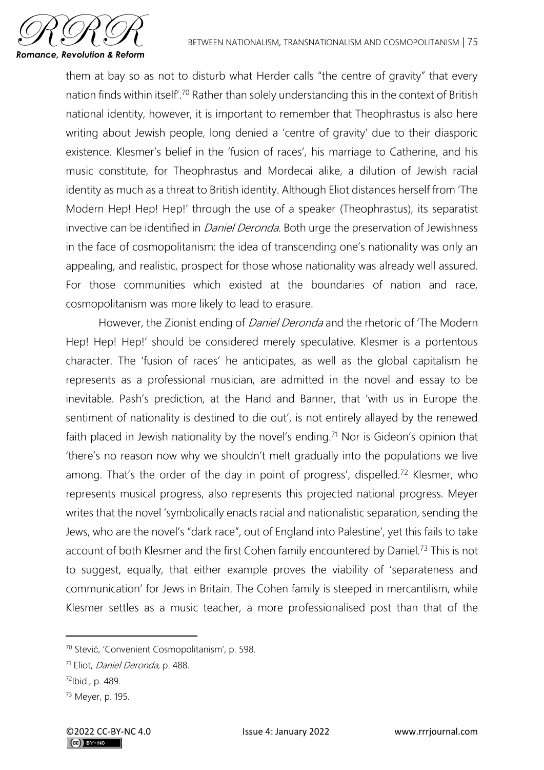

them at bay so as not to disturb what Herder calls "the centre of gravity" that every nation finds within itself'.<sup>70</sup> Rather than solely understanding this in the context of British national identity, however, it is important to remember that Theophrastus is also here writing about Jewish people, long denied a 'centre of gravity' due to their diasporic existence. Klesmer's belief in the 'fusion of races', his marriage to Catherine, and his music constitute, for Theophrastus and Mordecai alike, a dilution of Jewish racial identity as much as a threat to British identity. Although Eliot distances herself from 'The Modern Hep! Hep! Hep!' through the use of a speaker (Theophrastus), its separatist invective can be identified in *Daniel Deronda*. Both urge the preservation of Jewishness in the face of cosmopolitanism: the idea of transcending one's nationality was only an appealing, and realistic, prospect for those whose nationality was already well assured. For those communities which existed at the boundaries of nation and race, cosmopolitanism was more likely to lead to erasure.

However, the Zionist ending of *Daniel Deronda* and the rhetoric of 'The Modern Hep! Hep! Hep!' should be considered merely speculative. Klesmer is a portentous character. The 'fusion of races' he anticipates, as well as the global capitalism he represents as a professional musician, are admitted in the novel and essay to be inevitable. Pash's prediction, at the Hand and Banner, that 'with us in Europe the sentiment of nationality is destined to die out', is not entirely allayed by the renewed faith placed in Jewish nationality by the novel's ending.<sup>71</sup> Nor is Gideon's opinion that 'there's no reason now why we shouldn't melt gradually into the populations we live among. That's the order of the day in point of progress', dispelled.<sup>72</sup> Klesmer, who represents musical progress, also represents this projected national progress. Meyer writes that the novel 'symbolically enacts racial and nationalistic separation, sending the Jews, who are the novel's "dark race", out of England into Palestine', yet this fails to take account of both Klesmer and the first Cohen family encountered by Daniel.<sup>73</sup> This is not to suggest, equally, that either example proves the viability of 'separateness and communication' for Jews in Britain. The Cohen family is steeped in mercantilism, while Klesmer settles as a music teacher, a more professionalised post than that of the

<sup>70</sup> Stević, 'Convenient Cosmopolitanism', p. 598.

<sup>71</sup> Eliot, Daniel Deronda, p. 488.

<sup>72</sup>Ibid., p. 489.

<sup>73</sup> Meyer, p. 195.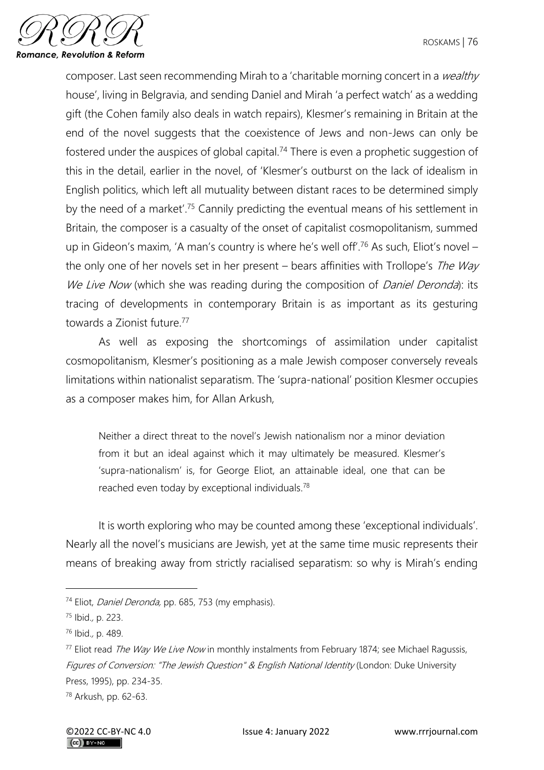

composer. Last seen recommending Mirah to a 'charitable morning concert in a wealthy house', living in Belgravia, and sending Daniel and Mirah 'a perfect watch' as a wedding gift (the Cohen family also deals in watch repairs), Klesmer's remaining in Britain at the end of the novel suggests that the coexistence of Jews and non-Jews can only be fostered under the auspices of global capital.<sup>74</sup> There is even a prophetic suggestion of this in the detail, earlier in the novel, of 'Klesmer's outburst on the lack of idealism in English politics, which left all mutuality between distant races to be determined simply by the need of a market'.<sup>75</sup> Cannily predicting the eventual means of his settlement in Britain, the composer is a casualty of the onset of capitalist cosmopolitanism, summed up in Gideon's maxim, 'A man's country is where he's well off'.<sup>76</sup> As such, Eliot's novel – the only one of her novels set in her present – bears affinities with Trollope's The Way We Live Now (which she was reading during the composition of Daniel Deronda): its tracing of developments in contemporary Britain is as important as its gesturing towards a Zionist future.<sup>77</sup>

As well as exposing the shortcomings of assimilation under capitalist cosmopolitanism, Klesmer's positioning as a male Jewish composer conversely reveals limitations within nationalist separatism. The 'supra-national' position Klesmer occupies as a composer makes him, for Allan Arkush,

Neither a direct threat to the novel's Jewish nationalism nor a minor deviation from it but an ideal against which it may ultimately be measured. Klesmer's 'supra-nationalism' is, for George Eliot, an attainable ideal, one that can be reached even today by exceptional individuals.<sup>78</sup>

It is worth exploring who may be counted among these 'exceptional individuals'. Nearly all the novel's musicians are Jewish, yet at the same time music represents their means of breaking away from strictly racialised separatism: so why is Mirah's ending

<sup>&</sup>lt;sup>74</sup> Eliot, *Daniel Deronda,* pp. 685, 753 (my emphasis).

<sup>75</sup> Ibid., p. 223.

<sup>76</sup> Ibid., p. 489.

<sup>&</sup>lt;sup>77</sup> Eliot read *The Way We Live Now* in monthly instalments from February 1874; see Michael Ragussis, Figures of Conversion: "The Jewish Question" & English National Identity (London: Duke University Press, 1995), pp. 234-35.

<sup>78</sup> Arkush, pp. 62-63.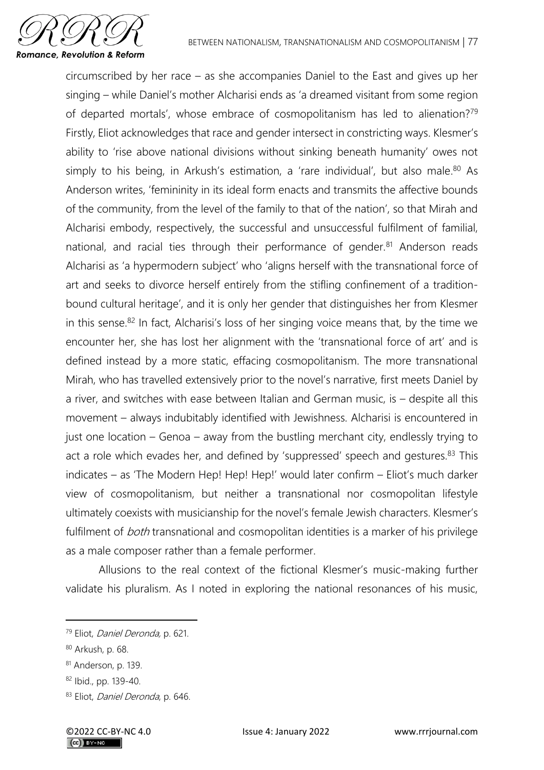

circumscribed by her race – as she accompanies Daniel to the East and gives up her singing – while Daniel's mother Alcharisi ends as 'a dreamed visitant from some region of departed mortals', whose embrace of cosmopolitanism has led to alienation?<sup>79</sup> Firstly, Eliot acknowledges that race and gender intersect in constricting ways. Klesmer's ability to 'rise above national divisions without sinking beneath humanity' owes not simply to his being, in Arkush's estimation, a 'rare individual', but also male.<sup>80</sup> As Anderson writes, 'femininity in its ideal form enacts and transmits the affective bounds of the community, from the level of the family to that of the nation', so that Mirah and Alcharisi embody, respectively, the successful and unsuccessful fulfilment of familial, national, and racial ties through their performance of gender.<sup>81</sup> Anderson reads Alcharisi as 'a hypermodern subject' who 'aligns herself with the transnational force of art and seeks to divorce herself entirely from the stifling confinement of a traditionbound cultural heritage', and it is only her gender that distinguishes her from Klesmer in this sense.<sup>82</sup> In fact, Alcharisi's loss of her singing voice means that, by the time we encounter her, she has lost her alignment with the 'transnational force of art' and is defined instead by a more static, effacing cosmopolitanism. The more transnational Mirah, who has travelled extensively prior to the novel's narrative, first meets Daniel by a river, and switches with ease between Italian and German music, is – despite all this movement – always indubitably identified with Jewishness. Alcharisi is encountered in just one location – Genoa – away from the bustling merchant city, endlessly trying to act a role which evades her, and defined by 'suppressed' speech and gestures.<sup>83</sup> This indicates – as 'The Modern Hep! Hep! Hep!' would later confirm – Eliot's much darker view of cosmopolitanism, but neither a transnational nor cosmopolitan lifestyle ultimately coexists with musicianship for the novel's female Jewish characters. Klesmer's fulfilment of *both* transnational and cosmopolitan identities is a marker of his privilege as a male composer rather than a female performer.

Allusions to the real context of the fictional Klesmer's music-making further validate his pluralism. As I noted in exploring the national resonances of his music,

<sup>79</sup> Eliot, Daniel Deronda, p. 621.

<sup>80</sup> Arkush, p. 68.

<sup>81</sup> Anderson, p. 139.

<sup>82</sup> Ibid., pp. 139-40.

<sup>83</sup> Eliot, *Daniel Deronda*, p. 646.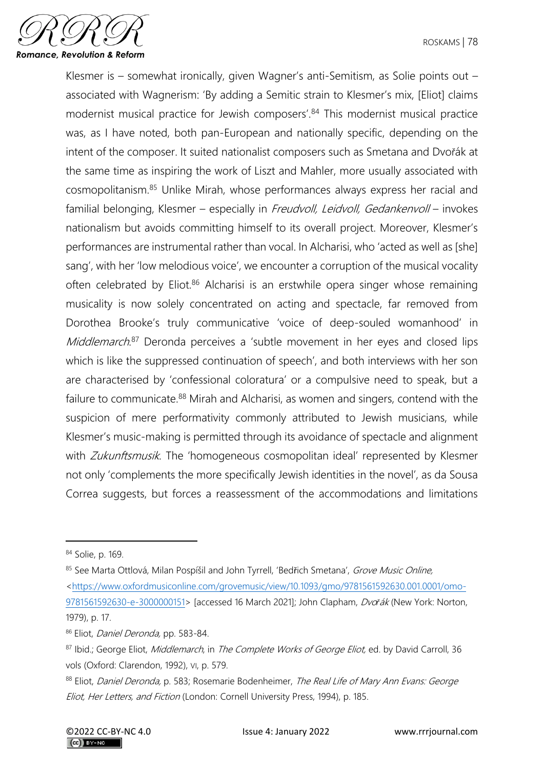

Klesmer is – somewhat ironically, given Wagner's anti-Semitism, as Solie points out – associated with Wagnerism: 'By adding a Semitic strain to Klesmer's mix, [Eliot] claims modernist musical practice for Jewish composers'.<sup>84</sup> This modernist musical practice was, as I have noted, both pan-European and nationally specific, depending on the intent of the composer. It suited nationalist composers such as Smetana and Dvořák at the same time as inspiring the work of Liszt and Mahler, more usually associated with cosmopolitanism.<sup>85</sup> Unlike Mirah, whose performances always express her racial and familial belonging, Klesmer – especially in Freudvoll, Leidvoll, Gedankenvoll – invokes nationalism but avoids committing himself to its overall project. Moreover, Klesmer's performances are instrumental rather than vocal. In Alcharisi, who 'acted as well as [she] sang', with her 'low melodious voice', we encounter a corruption of the musical vocality often celebrated by Eliot.<sup>86</sup> Alcharisi is an erstwhile opera singer whose remaining musicality is now solely concentrated on acting and spectacle, far removed from Dorothea Brooke's truly communicative 'voice of deep-souled womanhood' in Middlemarch.<sup>87</sup> Deronda perceives a 'subtle movement in her eyes and closed lips which is like the suppressed continuation of speech', and both interviews with her son are characterised by 'confessional coloratura' or a compulsive need to speak, but a failure to communicate.<sup>88</sup> Mirah and Alcharisi, as women and singers, contend with the suspicion of mere performativity commonly attributed to Jewish musicians, while Klesmer's music-making is permitted through its avoidance of spectacle and alignment with Zukunftsmusik. The 'homogeneous cosmopolitan ideal' represented by Klesmer not only 'complements the more specifically Jewish identities in the novel', as da Sousa Correa suggests, but forces a reassessment of the accommodations and limitations

<sup>84</sup> Solie, p. 169.

<sup>85</sup> See Marta Ottlová, Milan Pospíšil and John Tyrrell, 'Bedřich Smetana', Grove Music Online, [<https://www.oxfordmusiconline.com/grovemusic/view/10.1093/gmo/9781561592630.001.0001/omo-](https://www.oxfordmusiconline.com/grovemusic/view/10.1093/gmo/9781561592630.001.0001/omo-9781561592630-e-3000000151)[9781561592630-e-3000000151>](https://www.oxfordmusiconline.com/grovemusic/view/10.1093/gmo/9781561592630.001.0001/omo-9781561592630-e-3000000151) [accessed 16 March 2021]; John Clapham, Dvo*ř*ák (New York: Norton, 1979), p. 17.

<sup>86</sup> Eliot, Daniel Deronda, pp. 583-84.

<sup>87</sup> Ibid.; George Eliot, Middlemarch, in The Complete Works of George Eliot, ed. by David Carroll, 36 vols (Oxford: Clarendon, 1992), VI, p. 579.

<sup>88</sup> Eliot, Daniel Deronda, p. 583; Rosemarie Bodenheimer, The Real Life of Mary Ann Evans: George Eliot, Her Letters, and Fiction (London: Cornell University Press, 1994), p. 185.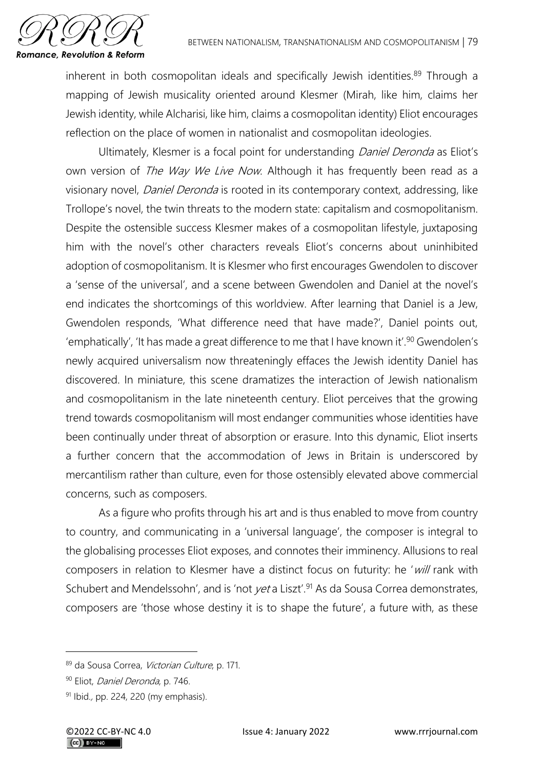

inherent in both cosmopolitan ideals and specifically Jewish identities.<sup>89</sup> Through a mapping of Jewish musicality oriented around Klesmer (Mirah, like him, claims her Jewish identity, while Alcharisi, like him, claims a cosmopolitan identity) Eliot encourages reflection on the place of women in nationalist and cosmopolitan ideologies.

Ultimately, Klesmer is a focal point for understanding Daniel Deronda as Eliot's own version of The Way We Live Now. Although it has frequently been read as a visionary novel, Daniel Deronda is rooted in its contemporary context, addressing, like Trollope's novel, the twin threats to the modern state: capitalism and cosmopolitanism. Despite the ostensible success Klesmer makes of a cosmopolitan lifestyle, juxtaposing him with the novel's other characters reveals Eliot's concerns about uninhibited adoption of cosmopolitanism. It is Klesmer who first encourages Gwendolen to discover a 'sense of the universal', and a scene between Gwendolen and Daniel at the novel's end indicates the shortcomings of this worldview. After learning that Daniel is a Jew, Gwendolen responds, 'What difference need that have made?', Daniel points out, 'emphatically', 'It has made a great difference to me that I have known it'.<sup>90</sup> Gwendolen's newly acquired universalism now threateningly effaces the Jewish identity Daniel has discovered. In miniature, this scene dramatizes the interaction of Jewish nationalism and cosmopolitanism in the late nineteenth century. Eliot perceives that the growing trend towards cosmopolitanism will most endanger communities whose identities have been continually under threat of absorption or erasure. Into this dynamic, Eliot inserts a further concern that the accommodation of Jews in Britain is underscored by mercantilism rather than culture, even for those ostensibly elevated above commercial concerns, such as composers.

As a figure who profits through his art and is thus enabled to move from country to country, and communicating in a 'universal language', the composer is integral to the globalising processes Eliot exposes, and connotes their imminency. Allusions to real composers in relation to Klesmer have a distinct focus on futurity: he 'will rank with Schubert and Mendelssohn', and is 'not yet a Liszt'.<sup>91</sup> As da Sousa Correa demonstrates, composers are 'those whose destiny it is to shape the future', a future with, as these

<sup>89</sup> da Sousa Correa, Victorian Culture, p. 171.

<sup>90</sup> Eliot, Daniel Deronda, p. 746.

<sup>91</sup> Ibid., pp. 224, 220 (my emphasis).